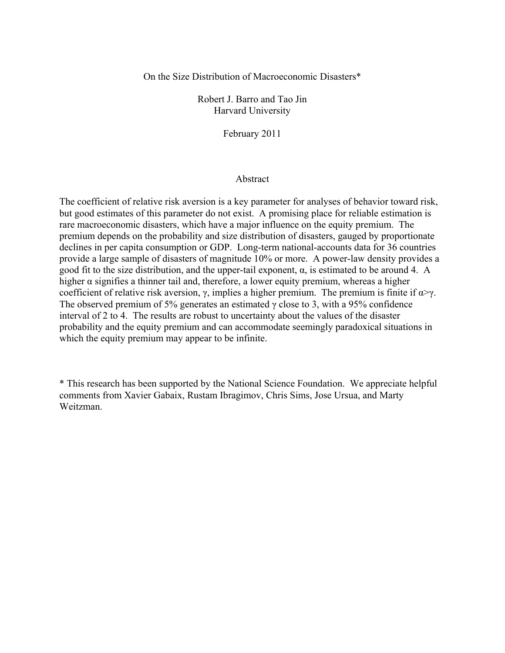# On the Size Distribution of Macroeconomic Disasters\*

Robert J. Barro and Tao Jin Harvard University

February 2011

# Abstract

The coefficient of relative risk aversion is a key parameter for analyses of behavior toward risk, but good estimates of this parameter do not exist. A promising place for reliable estimation is rare macroeconomic disasters, which have a major influence on the equity premium. The premium depends on the probability and size distribution of disasters, gauged by proportionate declines in per capita consumption or GDP. Long-term national-accounts data for 36 countries provide a large sample of disasters of magnitude 10% or more. A power-law density provides a good fit to the size distribution, and the upper-tail exponent,  $\alpha$ , is estimated to be around 4. A higher  $\alpha$  signifies a thinner tail and, therefore, a lower equity premium, whereas a higher coefficient of relative risk aversion,  $\gamma$ , implies a higher premium. The premium is finite if  $\alpha \rightarrow \gamma$ . The observed premium of 5% generates an estimated  $\gamma$  close to 3, with a 95% confidence interval of 2 to 4. The results are robust to uncertainty about the values of the disaster probability and the equity premium and can accommodate seemingly paradoxical situations in which the equity premium may appear to be infinite.

\* This research has been supported by the National Science Foundation. We appreciate helpful comments from Xavier Gabaix, Rustam Ibragimov, Chris Sims, Jose Ursua, and Marty Weitzman.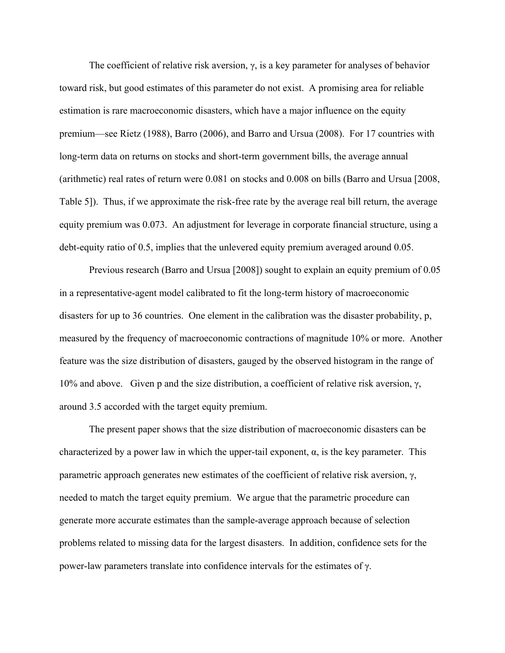The coefficient of relative risk aversion,  $\gamma$ , is a key parameter for analyses of behavior toward risk, but good estimates of this parameter do not exist. A promising area for reliable estimation is rare macroeconomic disasters, which have a major influence on the equity premium—see Rietz (1988), Barro (2006), and Barro and Ursua (2008). For 17 countries with long-term data on returns on stocks and short-term government bills, the average annual (arithmetic) real rates of return were 0.081 on stocks and 0.008 on bills (Barro and Ursua [2008, Table 5]). Thus, if we approximate the risk-free rate by the average real bill return, the average equity premium was 0.073. An adjustment for leverage in corporate financial structure, using a debt-equity ratio of 0.5, implies that the unlevered equity premium averaged around 0.05.

 Previous research (Barro and Ursua [2008]) sought to explain an equity premium of 0.05 in a representative-agent model calibrated to fit the long-term history of macroeconomic disasters for up to 36 countries. One element in the calibration was the disaster probability, p, measured by the frequency of macroeconomic contractions of magnitude 10% or more. Another feature was the size distribution of disasters, gauged by the observed histogram in the range of 10% and above. Given p and the size distribution, a coefficient of relative risk aversion, γ, around 3.5 accorded with the target equity premium.

 The present paper shows that the size distribution of macroeconomic disasters can be characterized by a power law in which the upper-tail exponent,  $\alpha$ , is the key parameter. This parametric approach generates new estimates of the coefficient of relative risk aversion, γ, needed to match the target equity premium. We argue that the parametric procedure can generate more accurate estimates than the sample-average approach because of selection problems related to missing data for the largest disasters. In addition, confidence sets for the power-law parameters translate into confidence intervals for the estimates of γ.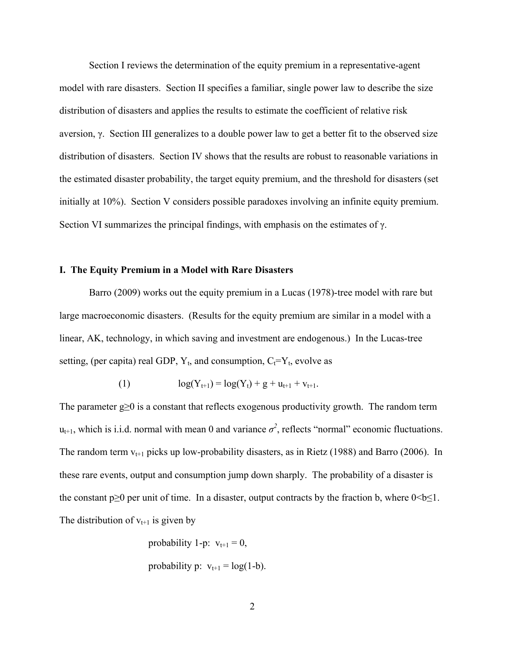Section I reviews the determination of the equity premium in a representative-agent model with rare disasters. Section II specifies a familiar, single power law to describe the size distribution of disasters and applies the results to estimate the coefficient of relative risk aversion, γ. Section III generalizes to a double power law to get a better fit to the observed size distribution of disasters. Section IV shows that the results are robust to reasonable variations in the estimated disaster probability, the target equity premium, and the threshold for disasters (set initially at 10%). Section V considers possible paradoxes involving an infinite equity premium. Section VI summarizes the principal findings, with emphasis on the estimates of  $\gamma$ .

# **I. The Equity Premium in a Model with Rare Disasters**

 Barro (2009) works out the equity premium in a Lucas (1978)-tree model with rare but large macroeconomic disasters. (Results for the equity premium are similar in a model with a linear, AK, technology, in which saving and investment are endogenous.) In the Lucas-tree setting, (per capita) real GDP,  $Y_t$ , and consumption,  $C_t=Y_t$ , evolve as

(1) 
$$
\log(Y_{t+1}) = \log(Y_t) + g + u_{t+1} + v_{t+1}.
$$

The parameter g≥0 is a constant that reflects exogenous productivity growth. The random term  $u_{t+1}$ , which is i.i.d. normal with mean 0 and variance  $\sigma^2$ , reflects "normal" economic fluctuations. The random term  $v_{t+1}$  picks up low-probability disasters, as in Rietz (1988) and Barro (2006). In these rare events, output and consumption jump down sharply. The probability of a disaster is the constant  $p \ge 0$  per unit of time. In a disaster, output contracts by the fraction b, where  $0 \le b \le 1$ . The distribution of  $v_{t+1}$  is given by

probability 1-p: 
$$
v_{t+1} = 0
$$
,  
probability p:  $v_{t+1} = log(1-b)$ .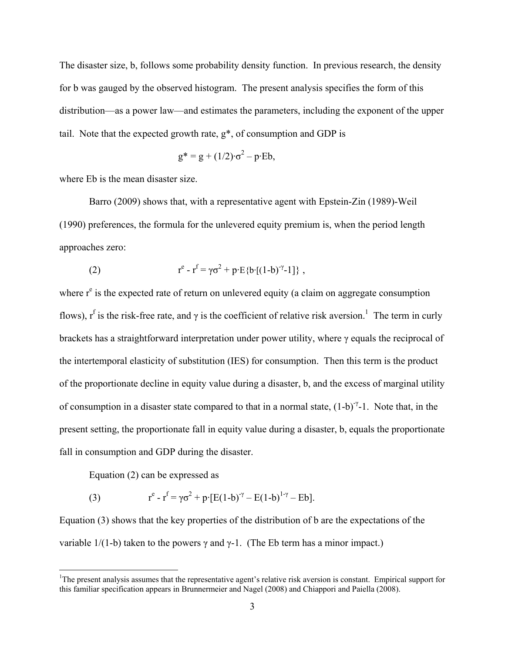The disaster size, b, follows some probability density function. In previous research, the density for b was gauged by the observed histogram. The present analysis specifies the form of this distribution—as a power law—and estimates the parameters, including the exponent of the upper tail. Note that the expected growth rate,  $g^*$ , of consumption and GDP is

$$
g^* = g + (1/2) \cdot \sigma^2 - p \cdot Eb,
$$

where Eb is the mean disaster size.

 Barro (2009) shows that, with a representative agent with Epstein-Zin (1989)-Weil (1990) preferences, the formula for the unlevered equity premium is, when the period length approaches zero:

(2) 
$$
r^{e} - r^{f} = \gamma \sigma^{2} + p \cdot E \{b \cdot [(1-b)^{-\gamma} - 1] \},
$$

where  $r<sup>e</sup>$  is the expected rate of return on unlevered equity (a claim on aggregate consumption flows),  $r^f$  is the risk-free rate, and  $\gamma$  is the coefficient of relative risk aversion.<sup>1</sup> The term in curly brackets has a straightforward interpretation under power utility, where γ equals the reciprocal of the intertemporal elasticity of substitution (IES) for consumption. Then this term is the product of the proportionate decline in equity value during a disaster, b, and the excess of marginal utility of consumption in a disaster state compared to that in a normal state,  $(1-b)^{\gamma}$ -1. Note that, in the present setting, the proportionate fall in equity value during a disaster, b, equals the proportionate fall in consumption and GDP during the disaster.

Equation (2) can be expressed as

 $\overline{a}$ 

(3) 
$$
r^{e} - r^{f} = \gamma \sigma^{2} + p \cdot [E(1-b)^{\gamma} - E(1-b)^{1-\gamma} - Eb].
$$

Equation (3) shows that the key properties of the distribution of b are the expectations of the variable  $1/(1-b)$  taken to the powers  $\gamma$  and  $\gamma$ -1. (The Eb term has a minor impact.)

<sup>&</sup>lt;sup>1</sup>The present analysis assumes that the representative agent's relative risk aversion is constant. Empirical support for this familiar specification appears in Brunnermeier and Nagel (2008) and Chiappori and Paiella (2008).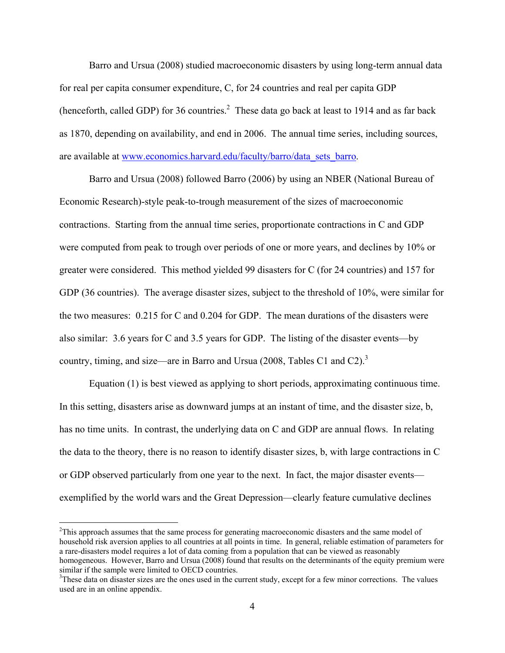Barro and Ursua (2008) studied macroeconomic disasters by using long-term annual data for real per capita consumer expenditure, C, for 24 countries and real per capita GDP (henceforth, called GDP) for 36 countries.<sup>2</sup> These data go back at least to 1914 and as far back as 1870, depending on availability, and end in 2006. The annual time series, including sources, are available at www.economics.harvard.edu/faculty/barro/data\_sets\_barro.

 Barro and Ursua (2008) followed Barro (2006) by using an NBER (National Bureau of Economic Research)-style peak-to-trough measurement of the sizes of macroeconomic contractions. Starting from the annual time series, proportionate contractions in C and GDP were computed from peak to trough over periods of one or more years, and declines by 10% or greater were considered. This method yielded 99 disasters for C (for 24 countries) and 157 for GDP (36 countries). The average disaster sizes, subject to the threshold of 10%, were similar for the two measures: 0.215 for C and 0.204 for GDP. The mean durations of the disasters were also similar: 3.6 years for C and 3.5 years for GDP. The listing of the disaster events—by country, timing, and size—are in Barro and Ursua (2008, Tables C1 and C2).<sup>3</sup>

 Equation (1) is best viewed as applying to short periods, approximating continuous time. In this setting, disasters arise as downward jumps at an instant of time, and the disaster size, b, has no time units. In contrast, the underlying data on C and GDP are annual flows. In relating the data to the theory, there is no reason to identify disaster sizes, b, with large contractions in C or GDP observed particularly from one year to the next. In fact, the major disaster events exemplified by the world wars and the Great Depression—clearly feature cumulative declines

<u>.</u>

 $2$ This approach assumes that the same process for generating macroeconomic disasters and the same model of household risk aversion applies to all countries at all points in time. In general, reliable estimation of parameters for a rare-disasters model requires a lot of data coming from a population that can be viewed as reasonably homogeneous. However, Barro and Ursua (2008) found that results on the determinants of the equity premium were similar if the sample were limited to OECD countries.

<sup>&</sup>lt;sup>3</sup>These data on disaster sizes are the ones used in the current study, except for a few minor corrections. The values used are in an online appendix.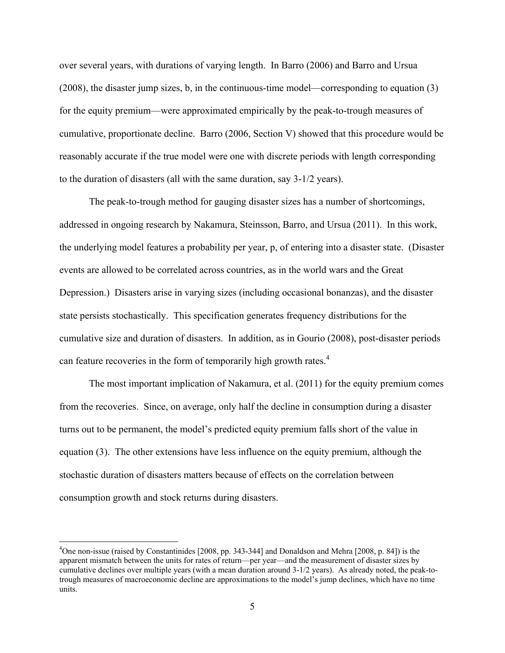over several years, with durations of varying length. In Barro (2006) and Barro and Ursua (2008), the disaster jump sizes, b, in the continuous-time model—corresponding to equation (3) for the equity premium—were approximated empirically by the peak-to-trough measures of cumulative, proportionate decline. Barro (2006, Section V) showed that this procedure would be reasonably accurate if the true model were one with discrete periods with length corresponding to the duration of disasters (all with the same duration, say 3-1/2 years).

 The peak-to-trough method for gauging disaster sizes has a number of shortcomings, addressed in ongoing research by Nakamura, Steinsson, Barro, and Ursua (2011). In this work, the underlying model features a probability per year, p, of entering into a disaster state. (Disaster events are allowed to be correlated across countries, as in the world wars and the Great Depression.) Disasters arise in varying sizes (including occasional bonanzas), and the disaster state persists stochastically. This specification generates frequency distributions for the cumulative size and duration of disasters. In addition, as in Gourio (2008), post-disaster periods can feature recoveries in the form of temporarily high growth rates.<sup>4</sup>

 The most important implication of Nakamura, et al. (2011) for the equity premium comes from the recoveries. Since, on average, only half the decline in consumption during a disaster turns out to be permanent, the model's predicted equity premium falls short of the value in equation (3). The other extensions have less influence on the equity premium, although the stochastic duration of disasters matters because of effects on the correlation between consumption growth and stock returns during disasters.

<sup>&</sup>lt;sup>4</sup>One non-issue (raised by Constantinides [2008, pp. 343-344] and Donaldson and Mehra [2008, p. 84]) is the apparent mismatch between the units for rates of return—per year—and the measurement of disaster sizes by cumulative declines over multiple years (with a mean duration around 3-1/2 years). As already noted, the peak-totrough measures of macroeconomic decline are approximations to the model's jump declines, which have no time units.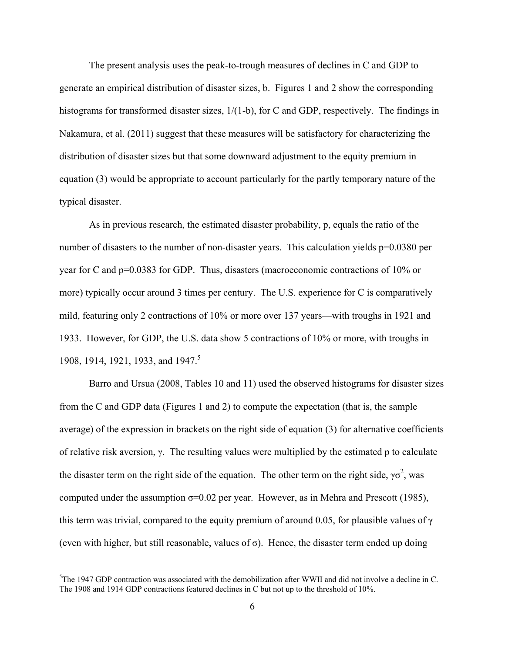The present analysis uses the peak-to-trough measures of declines in C and GDP to generate an empirical distribution of disaster sizes, b. Figures 1 and 2 show the corresponding histograms for transformed disaster sizes,  $1/(1-b)$ , for C and GDP, respectively. The findings in Nakamura, et al. (2011) suggest that these measures will be satisfactory for characterizing the distribution of disaster sizes but that some downward adjustment to the equity premium in equation (3) would be appropriate to account particularly for the partly temporary nature of the typical disaster.

 As in previous research, the estimated disaster probability, p, equals the ratio of the number of disasters to the number of non-disaster years. This calculation yields p=0.0380 per year for C and p=0.0383 for GDP. Thus, disasters (macroeconomic contractions of 10% or more) typically occur around 3 times per century. The U.S. experience for C is comparatively mild, featuring only 2 contractions of 10% or more over 137 years—with troughs in 1921 and 1933. However, for GDP, the U.S. data show 5 contractions of 10% or more, with troughs in 1908, 1914, 1921, 1933, and 1947.<sup>5</sup>

 Barro and Ursua (2008, Tables 10 and 11) used the observed histograms for disaster sizes from the C and GDP data (Figures 1 and 2) to compute the expectation (that is, the sample average) of the expression in brackets on the right side of equation (3) for alternative coefficients of relative risk aversion, γ. The resulting values were multiplied by the estimated p to calculate the disaster term on the right side of the equation. The other term on the right side,  $\gamma \sigma^2$ , was computed under the assumption  $\sigma$ =0.02 per year. However, as in Mehra and Prescott (1985), this term was trivial, compared to the equity premium of around 0.05, for plausible values of  $\gamma$ (even with higher, but still reasonable, values of  $\sigma$ ). Hence, the disaster term ended up doing

<sup>&</sup>lt;sup>5</sup>The 1947 GDP contraction was associated with the demobilization after WWII and did not involve a decline in C. The 1908 and 1914 GDP contractions featured declines in C but not up to the threshold of 10%.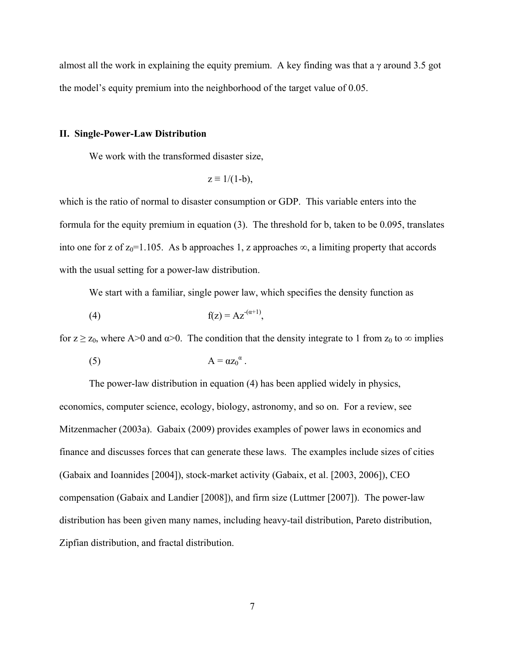almost all the work in explaining the equity premium. A key finding was that a  $\gamma$  around 3.5 got the model's equity premium into the neighborhood of the target value of 0.05.

# **II. Single-Power-Law Distribution**

We work with the transformed disaster size,

$$
z \equiv 1/(1-b),
$$

which is the ratio of normal to disaster consumption or GDP. This variable enters into the formula for the equity premium in equation (3). The threshold for b, taken to be 0.095, translates into one for z of  $z_0$ =1.105. As b approaches 1, z approaches  $\infty$ , a limiting property that accords with the usual setting for a power-law distribution.

We start with a familiar, single power law, which specifies the density function as

$$
f(z) = Az^{(\alpha+1)},
$$

for  $z \ge z_0$ , where A>0 and  $\alpha$ >0. The condition that the density integrate to 1 from  $z_0$  to  $\infty$  implies

$$
(5) \t\t\t A = \alpha z_0^{\alpha}.
$$

 The power-law distribution in equation (4) has been applied widely in physics, economics, computer science, ecology, biology, astronomy, and so on. For a review, see Mitzenmacher (2003a). Gabaix (2009) provides examples of power laws in economics and finance and discusses forces that can generate these laws. The examples include sizes of cities (Gabaix and Ioannides [2004]), stock-market activity (Gabaix, et al. [2003, 2006]), CEO compensation (Gabaix and Landier [2008]), and firm size (Luttmer [2007]). The power-law distribution has been given many names, including heavy-tail distribution, Pareto distribution, Zipfian distribution, and fractal distribution.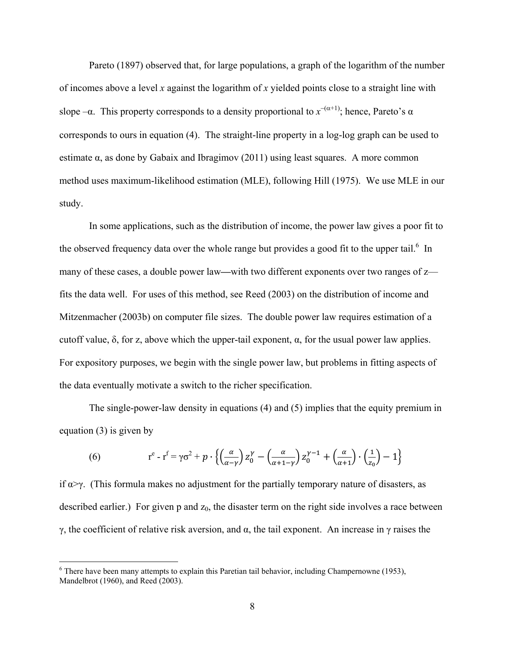Pareto (1897) observed that, for large populations, a graph of the logarithm of the number of incomes above a level *x* against the logarithm of *x* yielded points close to a straight line with slope  $-\alpha$ . This property corresponds to a density proportional to  $x^{-(\alpha+1)}$ ; hence, Pareto's  $\alpha$ corresponds to ours in equation (4). The straight-line property in a log-log graph can be used to estimate α, as done by Gabaix and Ibragimov (2011) using least squares. A more common method uses maximum-likelihood estimation (MLE), following Hill (1975). We use MLE in our study.

 In some applications, such as the distribution of income, the power law gives a poor fit to the observed frequency data over the whole range but provides a good fit to the upper tail.<sup>6</sup> In many of these cases, a double power law**—**with two different exponents over two ranges of z fits the data well. For uses of this method, see Reed (2003) on the distribution of income and Mitzenmacher (2003b) on computer file sizes. The double power law requires estimation of a cutoff value, δ, for z, above which the upper-tail exponent,  $\alpha$ , for the usual power law applies. For expository purposes, we begin with the single power law, but problems in fitting aspects of the data eventually motivate a switch to the richer specification.

 The single-power-law density in equations (4) and (5) implies that the equity premium in equation (3) is given by

(6) 
$$
r^{e} - r^{f} = \gamma \sigma^{2} + p \cdot \left\{ \left( \frac{\alpha}{\alpha - \gamma} \right) z_{0}^{\gamma} - \left( \frac{\alpha}{\alpha + 1 - \gamma} \right) z_{0}^{\gamma - 1} + \left( \frac{\alpha}{\alpha + 1} \right) \cdot \left( \frac{1}{z_{0}} \right) - 1 \right\}
$$

if  $\alpha \rightarrow \gamma$ . (This formula makes no adjustment for the partially temporary nature of disasters, as described earlier.) For given  $p$  and  $z_0$ , the disaster term on the right side involves a race between γ, the coefficient of relative risk aversion, and α, the tail exponent. An increase in γ raises the

 $\overline{a}$ 

 $6$  There have been many attempts to explain this Paretian tail behavior, including Champernowne (1953), Mandelbrot (1960), and Reed (2003).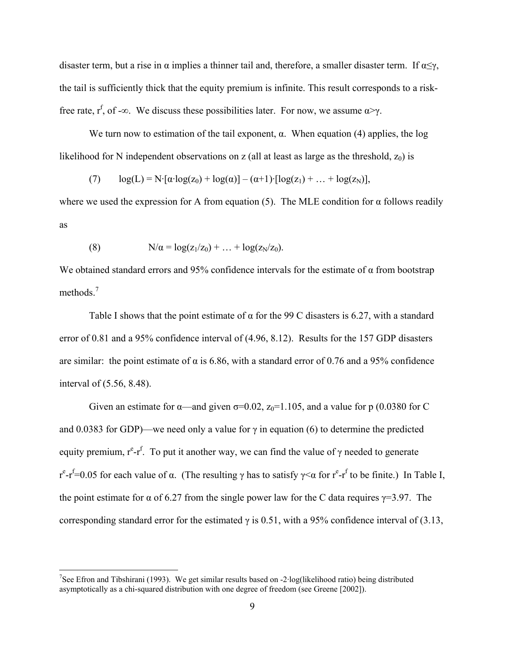disaster term, but a rise in  $\alpha$  implies a thinner tail and, therefore, a smaller disaster term. If  $\alpha \leq \gamma$ , the tail is sufficiently thick that the equity premium is infinite. This result corresponds to a riskfree rate,  $r^f$ , of -∞. We discuss these possibilities later. For now, we assume  $\alpha \rightarrow \gamma$ .

We turn now to estimation of the tail exponent,  $\alpha$ . When equation (4) applies, the log likelihood for N independent observations on z (all at least as large as the threshold,  $z_0$ ) is

(7) 
$$
\log(L) = N \cdot [\alpha \cdot \log(z_0) + \log(\alpha)] - (\alpha + 1) \cdot [\log(z_1) + ... + \log(z_N)],
$$

where we used the expression for A from equation (5). The MLE condition for  $\alpha$  follows readily as

(8) 
$$
N/\alpha = \log(z_1/z_0) + ... + \log(z_N/z_0).
$$

We obtained standard errors and 95% confidence intervals for the estimate of  $\alpha$  from bootstrap methods.<sup>7</sup>

Table I shows that the point estimate of  $\alpha$  for the 99 C disasters is 6.27, with a standard error of 0.81 and a 95% confidence interval of (4.96, 8.12). Results for the 157 GDP disasters are similar: the point estimate of  $\alpha$  is 6.86, with a standard error of 0.76 and a 95% confidence interval of (5.56, 8.48).

Given an estimate for  $\alpha$ —and given  $\sigma$ =0.02, z<sub>0</sub>=1.105, and a value for p (0.0380 for C and 0.0383 for GDP)—we need only a value for  $\gamma$  in equation (6) to determine the predicted equity premium,  $r^e$ - $r^f$ . To put it another way, we can find the value of  $\gamma$  needed to generate  $r^{e}$ - $r^{f}$ =0.05 for each value of α. (The resulting γ has to satisfy γ<α for  $r^{e}$ - $r^{f}$  to be finite.) In Table I, the point estimate for  $\alpha$  of 6.27 from the single power law for the C data requires  $\gamma$ =3.97. The corresponding standard error for the estimated  $\gamma$  is 0.51, with a 95% confidence interval of (3.13,

<sup>&</sup>lt;sup>7</sup>See Efron and Tibshirani (1993). We get similar results based on -2·log(likelihood ratio) being distributed asymptotically as a chi-squared distribution with one degree of freedom (see Greene [2002]).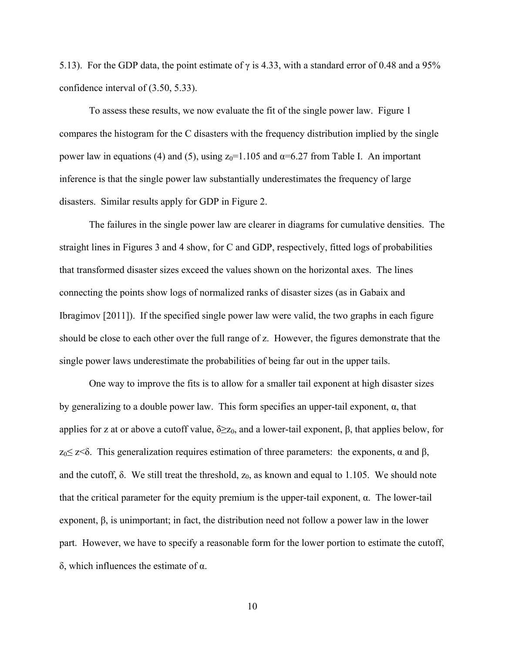5.13). For the GDP data, the point estimate of  $\gamma$  is 4.33, with a standard error of 0.48 and a 95% confidence interval of (3.50, 5.33).

 To assess these results, we now evaluate the fit of the single power law. Figure 1 compares the histogram for the C disasters with the frequency distribution implied by the single power law in equations (4) and (5), using  $z_0$ =1.105 and α=6.27 from Table I. An important inference is that the single power law substantially underestimates the frequency of large disasters. Similar results apply for GDP in Figure 2.

 The failures in the single power law are clearer in diagrams for cumulative densities. The straight lines in Figures 3 and 4 show, for C and GDP, respectively, fitted logs of probabilities that transformed disaster sizes exceed the values shown on the horizontal axes. The lines connecting the points show logs of normalized ranks of disaster sizes (as in Gabaix and Ibragimov [2011]). If the specified single power law were valid, the two graphs in each figure should be close to each other over the full range of z. However, the figures demonstrate that the single power laws underestimate the probabilities of being far out in the upper tails.

 One way to improve the fits is to allow for a smaller tail exponent at high disaster sizes by generalizing to a double power law. This form specifies an upper-tail exponent,  $\alpha$ , that applies for z at or above a cutoff value,  $\delta \geq z_0$ , and a lower-tail exponent, β, that applies below, for  $z<sub>0</sub>≤ z<sub>0</sub>$ . This generalization requires estimation of three parameters: the exponents, α and β, and the cutoff,  $\delta$ . We still treat the threshold,  $z_0$ , as known and equal to 1.105. We should note that the critical parameter for the equity premium is the upper-tail exponent,  $\alpha$ . The lower-tail exponent, β, is unimportant; in fact, the distribution need not follow a power law in the lower part. However, we have to specify a reasonable form for the lower portion to estimate the cutoff, δ, which influences the estimate of α.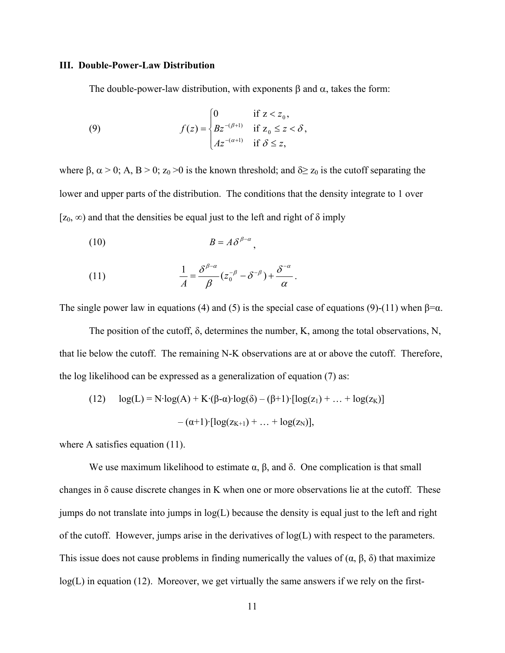# **III. Double-Power-Law Distribution**

The double-power-law distribution, with exponents  $\beta$  and  $\alpha$ , takes the form:

(9) 
$$
f(z) = \begin{cases} 0 & \text{if } z < z_0, \\ Bz^{-(\beta+1)} & \text{if } z_0 \leq z < \delta, \\ Az^{-(\alpha+1)} & \text{if } \delta \leq z, \end{cases}
$$

where  $\beta$ ,  $\alpha > 0$ ; A, B > 0; z<sub>0</sub> > 0 is the known threshold; and  $\delta \ge z_0$  is the cutoff separating the lower and upper parts of the distribution. The conditions that the density integrate to 1 over [ $z_0$ ,  $\infty$ ) and that the densities be equal just to the left and right of  $\delta$  imply

$$
(10) \t\t\t B = A \delta^{\beta-\alpha},
$$

(11) 
$$
\frac{1}{A} = \frac{\delta^{\beta-\alpha}}{\beta} (z_0^{-\beta} - \delta^{-\beta}) + \frac{\delta^{-\alpha}}{\alpha}.
$$

The single power law in equations (4) and (5) is the special case of equations (9)-(11) when  $\beta = \alpha$ .

 The position of the cutoff, δ, determines the number, K, among the total observations, N, that lie below the cutoff. The remaining N-K observations are at or above the cutoff. Therefore, the log likelihood can be expressed as a generalization of equation (7) as:

(12) 
$$
\log(L) = N \cdot \log(A) + K \cdot (\beta - \alpha) \cdot \log(\delta) - (\beta + 1) \cdot [\log(z_1) + ... + \log(z_K)] - (\alpha + 1) \cdot [\log(z_{K+1}) + ... + \log(z_N)],
$$

where A satisfies equation (11).

We use maximum likelihood to estimate  $\alpha$ ,  $\beta$ , and  $\delta$ . One complication is that small changes in δ cause discrete changes in K when one or more observations lie at the cutoff. These jumps do not translate into jumps in log(L) because the density is equal just to the left and right of the cutoff. However, jumps arise in the derivatives of  $log(L)$  with respect to the parameters. This issue does not cause problems in finding numerically the values of  $(\alpha, \beta, \delta)$  that maximize  $log(L)$  in equation (12). Moreover, we get virtually the same answers if we rely on the first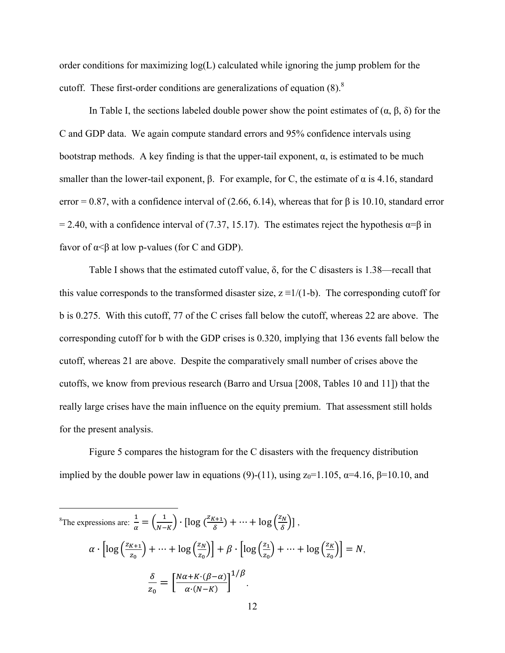order conditions for maximizing  $log(L)$  calculated while ignoring the jump problem for the cutoff. These first-order conditions are generalizations of equation  $(8)$ .<sup>8</sup>

In Table I, the sections labeled double power show the point estimates of  $(\alpha, \beta, \delta)$  for the C and GDP data. We again compute standard errors and 95% confidence intervals using bootstrap methods. A key finding is that the upper-tail exponent,  $\alpha$ , is estimated to be much smaller than the lower-tail exponent,  $\beta$ . For example, for C, the estimate of  $\alpha$  is 4.16, standard error = 0.87, with a confidence interval of (2.66, 6.14), whereas that for  $\beta$  is 10.10, standard error = 2.40, with a confidence interval of (7.37, 15.17). The estimates reject the hypothesis  $\alpha = \beta$  in favor of  $\alpha < \beta$  at low p-values (for C and GDP).

Table I shows that the estimated cutoff value,  $\delta$ , for the C disasters is 1.38—recall that this value corresponds to the transformed disaster size,  $z = 1/(1-b)$ . The corresponding cutoff for b is 0.275. With this cutoff, 77 of the C crises fall below the cutoff, whereas 22 are above. The corresponding cutoff for b with the GDP crises is 0.320, implying that 136 events fall below the cutoff, whereas 21 are above. Despite the comparatively small number of crises above the cutoffs, we know from previous research (Barro and Ursua [2008, Tables 10 and 11]) that the really large crises have the main influence on the equity premium. That assessment still holds for the present analysis.

 Figure 5 compares the histogram for the C disasters with the frequency distribution implied by the double power law in equations (9)-(11), using  $z_0=1.105$ ,  $\alpha=4.16$ ,  $\beta=10.10$ , and

$$
\frac{1}{\sqrt[3]{2\pi}} \mathbb{E} \left[ \arg \left( \frac{z}{\alpha} \right) + \frac{1}{\sqrt{2\pi}} \right] \cdot \left[ \log \left( \frac{z}{\delta} \right) + \dots + \log \left( \frac{z}{\delta} \right) \right],
$$
\n
$$
\alpha \cdot \left[ \log \left( \frac{z_{K+1}}{z_0} \right) + \dots + \log \left( \frac{z_N}{z_0} \right) \right] + \beta \cdot \left[ \log \left( \frac{z_1}{z_0} \right) + \dots + \log \left( \frac{z_K}{z_0} \right) \right] = N,
$$
\n
$$
\frac{\delta}{z_0} = \left[ \frac{N\alpha + K \cdot (\beta - \alpha)}{\alpha \cdot (N - K)} \right]^{1/\beta}.
$$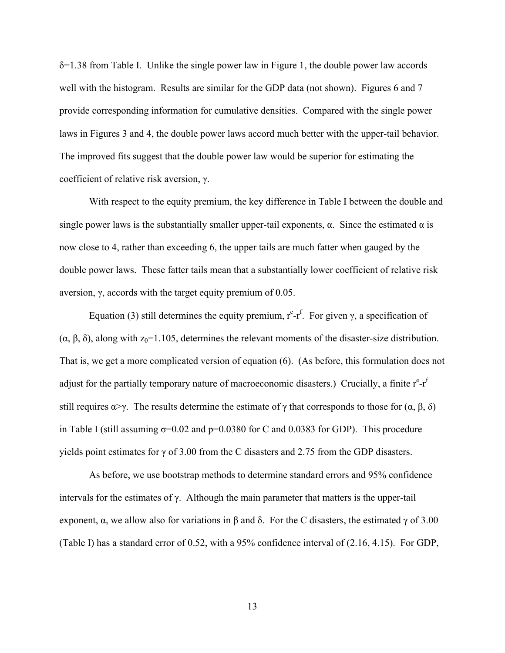δ=1.38 from Table I. Unlike the single power law in Figure 1, the double power law accords well with the histogram. Results are similar for the GDP data (not shown). Figures 6 and 7 provide corresponding information for cumulative densities. Compared with the single power laws in Figures 3 and 4, the double power laws accord much better with the upper-tail behavior. The improved fits suggest that the double power law would be superior for estimating the coefficient of relative risk aversion, γ.

 With respect to the equity premium, the key difference in Table I between the double and single power laws is the substantially smaller upper-tail exponents,  $\alpha$ . Since the estimated  $\alpha$  is now close to 4, rather than exceeding 6, the upper tails are much fatter when gauged by the double power laws. These fatter tails mean that a substantially lower coefficient of relative risk aversion, γ, accords with the target equity premium of 0.05.

Equation (3) still determines the equity premium,  $r^e-r^f$ . For given γ, a specification of (α, β, δ), along with  $z_0$ =1.105, determines the relevant moments of the disaster-size distribution. That is, we get a more complicated version of equation (6). (As before, this formulation does not adjust for the partially temporary nature of macroeconomic disasters.) Crucially, a finite  $r^{e} - r^{f}$ still requires  $\alpha \rightarrow \gamma$ . The results determine the estimate of  $\gamma$  that corresponds to those for  $(\alpha, \beta, \delta)$ in Table I (still assuming  $\sigma$ =0.02 and p=0.0380 for C and 0.0383 for GDP). This procedure yields point estimates for  $\gamma$  of 3.00 from the C disasters and 2.75 from the GDP disasters.

 As before, we use bootstrap methods to determine standard errors and 95% confidence intervals for the estimates of  $\gamma$ . Although the main parameter that matters is the upper-tail exponent,  $\alpha$ , we allow also for variations in  $\beta$  and  $\delta$ . For the C disasters, the estimated  $\gamma$  of 3.00 (Table I) has a standard error of 0.52, with a 95% confidence interval of (2.16, 4.15). For GDP,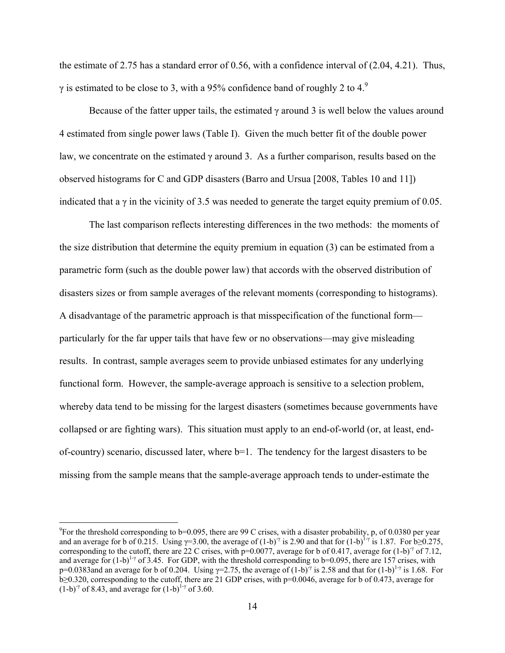the estimate of 2.75 has a standard error of 0.56, with a confidence interval of (2.04, 4.21). Thus, γ is estimated to be close to 3, with a 95% confidence band of roughly 2 to 4.<sup>9</sup>

Because of the fatter upper tails, the estimated  $\gamma$  around 3 is well below the values around 4 estimated from single power laws (Table I). Given the much better fit of the double power law, we concentrate on the estimated  $\gamma$  around 3. As a further comparison, results based on the observed histograms for C and GDP disasters (Barro and Ursua [2008, Tables 10 and 11]) indicated that a  $\gamma$  in the vicinity of 3.5 was needed to generate the target equity premium of 0.05.

 The last comparison reflects interesting differences in the two methods: the moments of the size distribution that determine the equity premium in equation (3) can be estimated from a parametric form (such as the double power law) that accords with the observed distribution of disasters sizes or from sample averages of the relevant moments (corresponding to histograms). A disadvantage of the parametric approach is that misspecification of the functional form particularly for the far upper tails that have few or no observations—may give misleading results. In contrast, sample averages seem to provide unbiased estimates for any underlying functional form. However, the sample-average approach is sensitive to a selection problem, whereby data tend to be missing for the largest disasters (sometimes because governments have collapsed or are fighting wars). This situation must apply to an end-of-world (or, at least, endof-country) scenario, discussed later, where b=1. The tendency for the largest disasters to be missing from the sample means that the sample-average approach tends to under-estimate the

 $\overline{a}$ 

<sup>&</sup>lt;sup>9</sup>For the threshold corresponding to b=0.095, there are 99 C crises, with a disaster probability, p, of 0.0380 per year and an average for b of 0.215. Using  $\gamma$ =3.00, the average of (1-b)<sup>-γ</sup> is 2.90 and that for (1-b)<sup>1-γ</sup> is 1.87. For b≥0.275, corresponding to the cutoff, there are 22 C crises, with p=0.0077, average for b of 0.417, average for  $(1-b)^{\gamma}$  of 7.12, and average for  $(1-b)^{1-\gamma}$  of 3.45. For GDP, with the threshold corresponding to b=0.095, there are 157 crises, with p=0.0383and an average for b of 0.204. Using  $\gamma$ =2.75, the average of (1-b)<sup>-γ</sup> is 2.58 and that for (1-b)<sup>1-γ</sup> is 1.68. For b≥0.320, corresponding to the cutoff, there are 21 GDP crises, with p=0.0046, average for b of 0.473, average for  $(1-b)^{-\gamma}$  of 8.43, and average for  $(1-b)^{1-\gamma}$  of 3.60.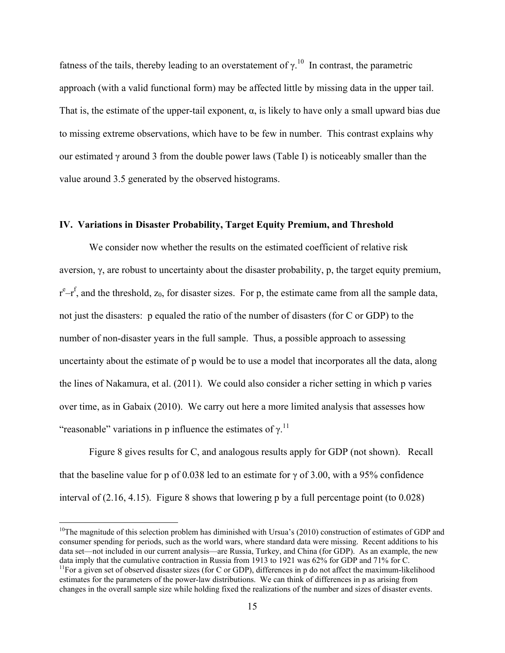fatness of the tails, thereby leading to an overstatement of  $\gamma$ <sup>10</sup>. In contrast, the parametric approach (with a valid functional form) may be affected little by missing data in the upper tail. That is, the estimate of the upper-tail exponent,  $\alpha$ , is likely to have only a small upward bias due to missing extreme observations, which have to be few in number. This contrast explains why our estimated  $\gamma$  around 3 from the double power laws (Table I) is noticeably smaller than the value around 3.5 generated by the observed histograms.

# **IV. Variations in Disaster Probability, Target Equity Premium, and Threshold**

We consider now whether the results on the estimated coefficient of relative risk aversion, γ, are robust to uncertainty about the disaster probability, p, the target equity premium,  $r^{e} - r^{f}$ , and the threshold,  $z_0$ , for disaster sizes. For p, the estimate came from all the sample data, not just the disasters: p equaled the ratio of the number of disasters (for C or GDP) to the number of non-disaster years in the full sample. Thus, a possible approach to assessing uncertainty about the estimate of p would be to use a model that incorporates all the data, along the lines of Nakamura, et al. (2011). We could also consider a richer setting in which p varies over time, as in Gabaix (2010). We carry out here a more limited analysis that assesses how "reasonable" variations in p influence the estimates of  $\gamma$ .<sup>11</sup>

 Figure 8 gives results for C, and analogous results apply for GDP (not shown). Recall that the baseline value for p of 0.038 led to an estimate for  $\gamma$  of 3.00, with a 95% confidence interval of (2.16, 4.15). Figure 8 shows that lowering p by a full percentage point (to 0.028)

 $\overline{a}$ 

 $10$ The magnitude of this selection problem has diminished with Ursua's (2010) construction of estimates of GDP and consumer spending for periods, such as the world wars, where standard data were missing. Recent additions to his data set—not included in our current analysis—are Russia, Turkey, and China (for GDP). As an example, the new data imply that the cumulative contraction in Russia from 1913 to 1921 was 62% for GDP and 71% for C.  $11$ For a given set of observed disaster sizes (for C or GDP), differences in p do not affect the maximum-likelihood

estimates for the parameters of the power-law distributions. We can think of differences in p as arising from changes in the overall sample size while holding fixed the realizations of the number and sizes of disaster events.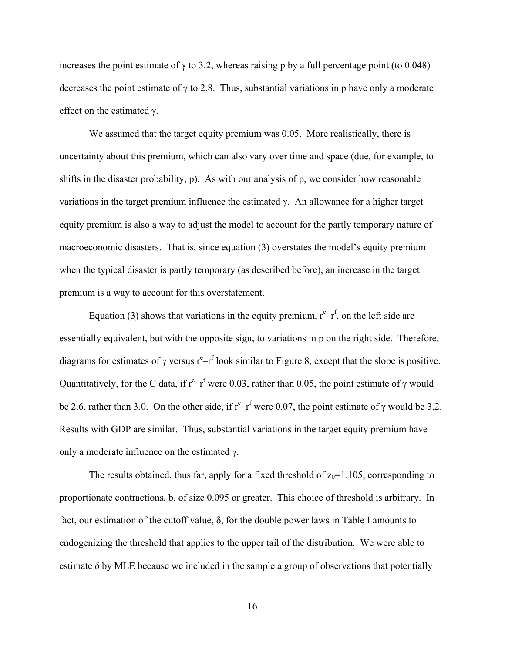increases the point estimate of  $\gamma$  to 3.2, whereas raising p by a full percentage point (to 0.048) decreases the point estimate of  $\gamma$  to 2.8. Thus, substantial variations in p have only a moderate effect on the estimated γ.

 We assumed that the target equity premium was 0.05. More realistically, there is uncertainty about this premium, which can also vary over time and space (due, for example, to shifts in the disaster probability, p). As with our analysis of p, we consider how reasonable variations in the target premium influence the estimated γ. An allowance for a higher target equity premium is also a way to adjust the model to account for the partly temporary nature of macroeconomic disasters. That is, since equation (3) overstates the model's equity premium when the typical disaster is partly temporary (as described before), an increase in the target premium is a way to account for this overstatement.

Equation (3) shows that variations in the equity premium,  $r^{e} - r^{f}$ , on the left side are essentially equivalent, but with the opposite sign, to variations in p on the right side. Therefore, diagrams for estimates of  $\gamma$  versus  $r^e-r^f$  look similar to Figure 8, except that the slope is positive. Quantitatively, for the C data, if  $r^e-r^f$  were 0.03, rather than 0.05, the point estimate of  $\gamma$  would be 2.6, rather than 3.0. On the other side, if  $r^e-r^f$  were 0.07, the point estimate of  $\gamma$  would be 3.2. Results with GDP are similar. Thus, substantial variations in the target equity premium have only a moderate influence on the estimated γ.

The results obtained, thus far, apply for a fixed threshold of  $z_0$ =1.105, corresponding to proportionate contractions, b, of size 0.095 or greater. This choice of threshold is arbitrary. In fact, our estimation of the cutoff value,  $\delta$ , for the double power laws in Table I amounts to endogenizing the threshold that applies to the upper tail of the distribution. We were able to estimate δ by MLE because we included in the sample a group of observations that potentially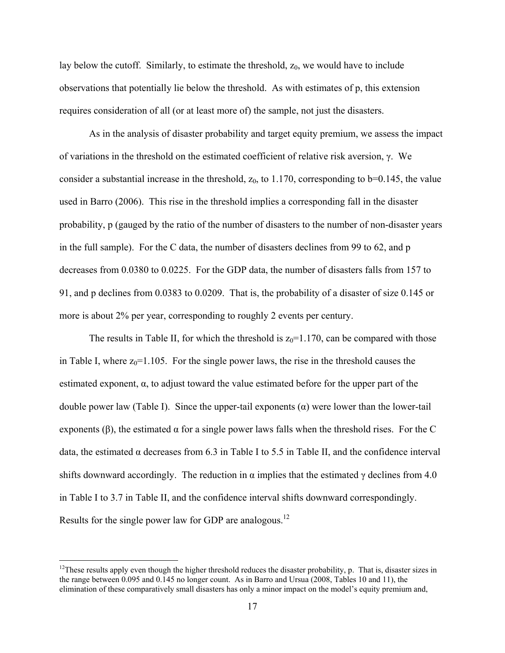lay below the cutoff. Similarly, to estimate the threshold,  $z_0$ , we would have to include observations that potentially lie below the threshold. As with estimates of p, this extension requires consideration of all (or at least more of) the sample, not just the disasters.

 As in the analysis of disaster probability and target equity premium, we assess the impact of variations in the threshold on the estimated coefficient of relative risk aversion, γ. We consider a substantial increase in the threshold,  $z_0$ , to 1.170, corresponding to b=0.145, the value used in Barro (2006). This rise in the threshold implies a corresponding fall in the disaster probability, p (gauged by the ratio of the number of disasters to the number of non-disaster years in the full sample). For the C data, the number of disasters declines from 99 to 62, and p decreases from 0.0380 to 0.0225. For the GDP data, the number of disasters falls from 157 to 91, and p declines from 0.0383 to 0.0209. That is, the probability of a disaster of size 0.145 or more is about 2% per year, corresponding to roughly 2 events per century.

The results in Table II, for which the threshold is  $z_0=1.170$ , can be compared with those in Table I, where  $z_0=1.105$ . For the single power laws, the rise in the threshold causes the estimated exponent, α, to adjust toward the value estimated before for the upper part of the double power law (Table I). Since the upper-tail exponents (α) were lower than the lower-tail exponents ( $\beta$ ), the estimated  $\alpha$  for a single power laws falls when the threshold rises. For the C data, the estimated α decreases from 6.3 in Table I to 5.5 in Table II, and the confidence interval shifts downward accordingly. The reduction in  $\alpha$  implies that the estimated  $\gamma$  declines from 4.0 in Table I to 3.7 in Table II, and the confidence interval shifts downward correspondingly. Results for the single power law for GDP are analogous.<sup>12</sup>

 $\overline{a}$ 

<sup>&</sup>lt;sup>12</sup>These results apply even though the higher threshold reduces the disaster probability, p. That is, disaster sizes in the range between 0.095 and 0.145 no longer count. As in Barro and Ursua (2008, Tables 10 and 11), the elimination of these comparatively small disasters has only a minor impact on the model's equity premium and,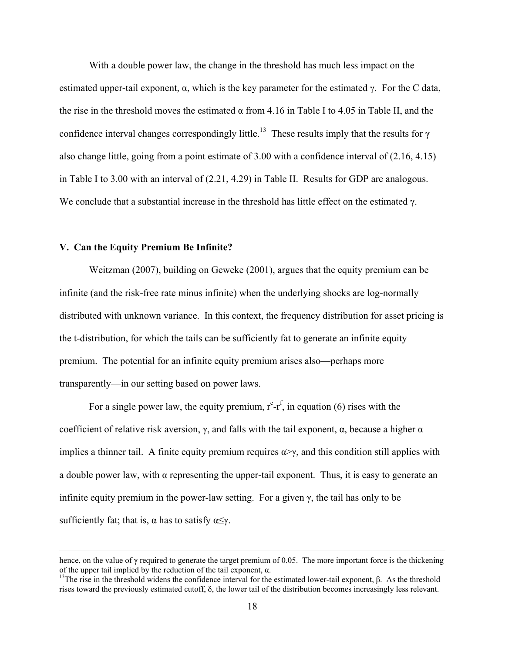With a double power law, the change in the threshold has much less impact on the estimated upper-tail exponent,  $\alpha$ , which is the key parameter for the estimated γ. For the C data, the rise in the threshold moves the estimated  $\alpha$  from 4.16 in Table I to 4.05 in Table II, and the confidence interval changes correspondingly little.<sup>13</sup> These results imply that the results for  $\gamma$ also change little, going from a point estimate of 3.00 with a confidence interval of (2.16, 4.15) in Table I to 3.00 with an interval of (2.21, 4.29) in Table II. Results for GDP are analogous. We conclude that a substantial increase in the threshold has little effect on the estimated  $\gamma$ .

#### **V. Can the Equity Premium Be Infinite?**

Weitzman (2007), building on Geweke (2001), argues that the equity premium can be infinite (and the risk-free rate minus infinite) when the underlying shocks are log-normally distributed with unknown variance. In this context, the frequency distribution for asset pricing is the t-distribution, for which the tails can be sufficiently fat to generate an infinite equity premium. The potential for an infinite equity premium arises also—perhaps more transparently—in our setting based on power laws.

For a single power law, the equity premium,  $r^{e} - r^{f}$ , in equation (6) rises with the coefficient of relative risk aversion,  $\gamma$ , and falls with the tail exponent,  $\alpha$ , because a higher  $\alpha$ implies a thinner tail. A finite equity premium requires  $\alpha \rightarrow \gamma$ , and this condition still applies with a double power law, with α representing the upper-tail exponent. Thus, it is easy to generate an infinite equity premium in the power-law setting. For a given  $\gamma$ , the tail has only to be sufficiently fat; that is,  $\alpha$  has to satisfy  $\alpha \leq \gamma$ .

hence, on the value of  $\gamma$  required to generate the target premium of 0.05. The more important force is the thickening of the upper tail implied by the reduction of the tail exponent,  $\alpha$ .

<sup>&</sup>lt;sup>13</sup>The rise in the threshold widens the confidence interval for the estimated lower-tail exponent, β. As the threshold rises toward the previously estimated cutoff, δ, the lower tail of the distribution becomes increasingly less relevant.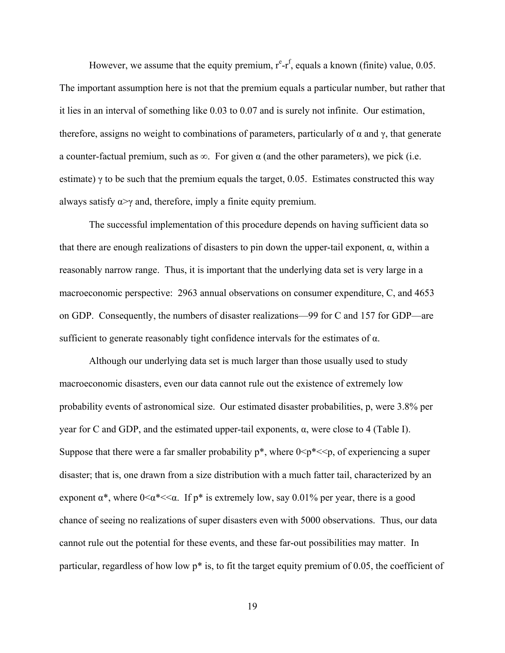However, we assume that the equity premium,  $r^{e} - r^{f}$ , equals a known (finite) value, 0.05. The important assumption here is not that the premium equals a particular number, but rather that it lies in an interval of something like 0.03 to 0.07 and is surely not infinite. Our estimation, therefore, assigns no weight to combinations of parameters, particularly of  $\alpha$  and  $\gamma$ , that generate a counter-factual premium, such as  $\infty$ . For given  $\alpha$  (and the other parameters), we pick (i.e. estimate)  $\gamma$  to be such that the premium equals the target, 0.05. Estimates constructed this way always satisfy  $\alpha \rightarrow \gamma$  and, therefore, imply a finite equity premium.

 The successful implementation of this procedure depends on having sufficient data so that there are enough realizations of disasters to pin down the upper-tail exponent, α, within a reasonably narrow range. Thus, it is important that the underlying data set is very large in a macroeconomic perspective: 2963 annual observations on consumer expenditure, C, and 4653 on GDP. Consequently, the numbers of disaster realizations—99 for C and 157 for GDP—are sufficient to generate reasonably tight confidence intervals for the estimates of  $\alpha$ .

 Although our underlying data set is much larger than those usually used to study macroeconomic disasters, even our data cannot rule out the existence of extremely low probability events of astronomical size. Our estimated disaster probabilities, p, were 3.8% per year for C and GDP, and the estimated upper-tail exponents, α, were close to 4 (Table I). Suppose that there were a far smaller probability  $p^*$ , where  $0 \le p^* \le p$ , of experiencing a super disaster; that is, one drawn from a size distribution with a much fatter tail, characterized by an exponent  $\alpha^*$ , where  $0 \le \alpha^* \le \alpha$ . If  $p^*$  is extremely low, say 0.01% per year, there is a good chance of seeing no realizations of super disasters even with 5000 observations. Thus, our data cannot rule out the potential for these events, and these far-out possibilities may matter. In particular, regardless of how low p\* is, to fit the target equity premium of 0.05, the coefficient of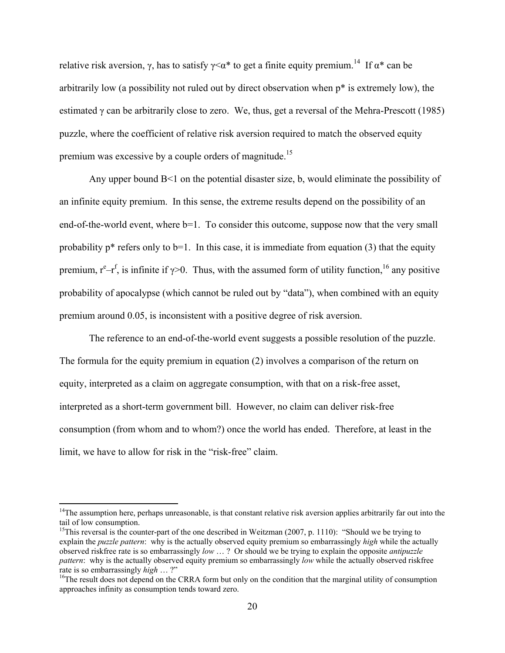relative risk aversion,  $\gamma$ , has to satisfy  $\gamma \leq \alpha^*$  to get a finite equity premium.<sup>14</sup> If  $\alpha^*$  can be arbitrarily low (a possibility not ruled out by direct observation when p\* is extremely low), the estimated γ can be arbitrarily close to zero. We, thus, get a reversal of the Mehra-Prescott (1985) puzzle, where the coefficient of relative risk aversion required to match the observed equity premium was excessive by a couple orders of magnitude.<sup>15</sup>

 Any upper bound B<1 on the potential disaster size, b, would eliminate the possibility of an infinite equity premium. In this sense, the extreme results depend on the possibility of an end-of-the-world event, where  $b=1$ . To consider this outcome, suppose now that the very small probability  $p^*$  refers only to b=1. In this case, it is immediate from equation (3) that the equity premium,  $r^e-r^f$ , is infinite if  $\gamma$ >0. Thus, with the assumed form of utility function, <sup>16</sup> any positive probability of apocalypse (which cannot be ruled out by "data"), when combined with an equity premium around 0.05, is inconsistent with a positive degree of risk aversion.

 The reference to an end-of-the-world event suggests a possible resolution of the puzzle. The formula for the equity premium in equation (2) involves a comparison of the return on equity, interpreted as a claim on aggregate consumption, with that on a risk-free asset, interpreted as a short-term government bill. However, no claim can deliver risk-free consumption (from whom and to whom?) once the world has ended. Therefore, at least in the limit, we have to allow for risk in the "risk-free" claim.

 $\overline{a}$ 

 $14$ The assumption here, perhaps unreasonable, is that constant relative risk aversion applies arbitrarily far out into the tail of low consumption.

<sup>&</sup>lt;sup>15</sup>This reversal is the counter-part of the one described in Weitzman (2007, p. 1110): "Should we be trying to explain the *puzzle pattern*: why is the actually observed equity premium so embarrassingly *high* while the actually observed riskfree rate is so embarrassingly *low* … ? Or should we be trying to explain the opposite *antipuzzle pattern*: why is the actually observed equity premium so embarrassingly *low* while the actually observed riskfree rate is so embarrassingly *high* ...?"

<sup>&</sup>lt;sup>16</sup>The result does not depend on the CRRA form but only on the condition that the marginal utility of consumption approaches infinity as consumption tends toward zero.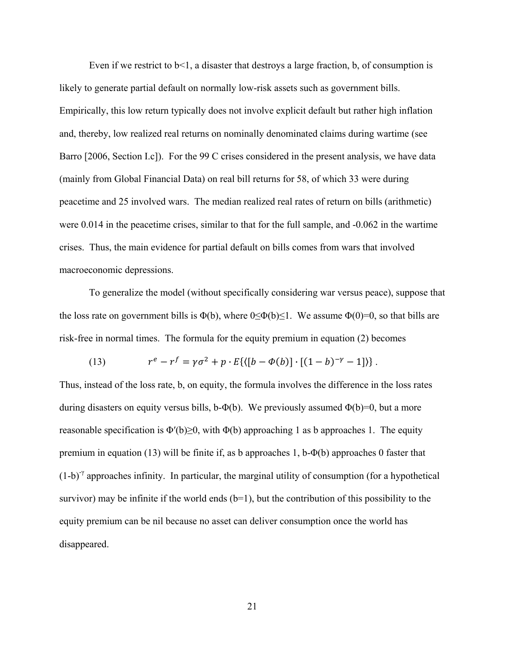Even if we restrict to  $b<1$ , a disaster that destroys a large fraction, b, of consumption is likely to generate partial default on normally low-risk assets such as government bills. Empirically, this low return typically does not involve explicit default but rather high inflation and, thereby, low realized real returns on nominally denominated claims during wartime (see Barro [2006, Section I.c]). For the 99 C crises considered in the present analysis, we have data (mainly from Global Financial Data) on real bill returns for 58, of which 33 were during peacetime and 25 involved wars. The median realized real rates of return on bills (arithmetic) were 0.014 in the peacetime crises, similar to that for the full sample, and -0.062 in the wartime crises. Thus, the main evidence for partial default on bills comes from wars that involved macroeconomic depressions.

 To generalize the model (without specifically considering war versus peace), suppose that the loss rate on government bills is  $\Phi(b)$ , where  $0 \le \Phi(b) \le 1$ . We assume  $\Phi(0)=0$ , so that bills are risk-free in normal times. The formula for the equity premium in equation (2) becomes

(13) 
$$
r^{e} - r^{f} = \gamma \sigma^{2} + p \cdot E\{([b - \Phi(b)] \cdot [(1 - b)^{-\gamma} - 1])\}.
$$

Thus, instead of the loss rate, b, on equity, the formula involves the difference in the loss rates during disasters on equity versus bills, b- $\Phi$ (b). We previously assumed  $\Phi$ (b)=0, but a more reasonable specification is  $\Phi'(b) \geq 0$ , with  $\Phi(b)$  approaching 1 as b approaches 1. The equity premium in equation (13) will be finite if, as b approaches 1, b- $\Phi$ (b) approaches 0 faster that  $(1-b)^{\gamma}$  approaches infinity. In particular, the marginal utility of consumption (for a hypothetical survivor) may be infinite if the world ends  $(b=1)$ , but the contribution of this possibility to the equity premium can be nil because no asset can deliver consumption once the world has disappeared.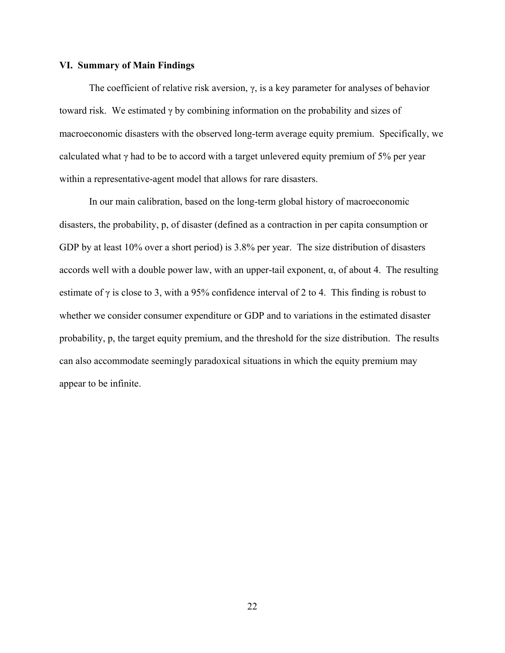# **VI. Summary of Main Findings**

The coefficient of relative risk aversion,  $\gamma$ , is a key parameter for analyses of behavior toward risk. We estimated γ by combining information on the probability and sizes of macroeconomic disasters with the observed long-term average equity premium. Specifically, we calculated what  $\gamma$  had to be to accord with a target unlevered equity premium of 5% per year within a representative-agent model that allows for rare disasters.

 In our main calibration, based on the long-term global history of macroeconomic disasters, the probability, p, of disaster (defined as a contraction in per capita consumption or GDP by at least 10% over a short period) is 3.8% per year. The size distribution of disasters accords well with a double power law, with an upper-tail exponent,  $\alpha$ , of about 4. The resulting estimate of  $\gamma$  is close to 3, with a 95% confidence interval of 2 to 4. This finding is robust to whether we consider consumer expenditure or GDP and to variations in the estimated disaster probability, p, the target equity premium, and the threshold for the size distribution. The results can also accommodate seemingly paradoxical situations in which the equity premium may appear to be infinite.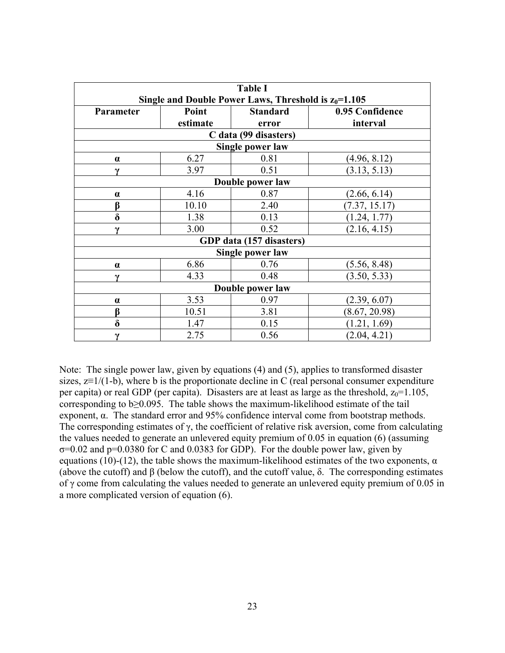| <b>Table I</b>                                          |          |                 |                 |  |  |
|---------------------------------------------------------|----------|-----------------|-----------------|--|--|
| Single and Double Power Laws, Threshold is $z_0$ =1.105 |          |                 |                 |  |  |
| Parameter                                               | Point    | <b>Standard</b> | 0.95 Confidence |  |  |
|                                                         | estimate | error           | interval        |  |  |
| C data (99 disasters)                                   |          |                 |                 |  |  |
| Single power law                                        |          |                 |                 |  |  |
| $\alpha$                                                | 6.27     | 0.81            | (4.96, 8.12)    |  |  |
| $\gamma$                                                | 3.97     | 0.51            | (3.13, 5.13)    |  |  |
| Double power law                                        |          |                 |                 |  |  |
| $\alpha$                                                | 4.16     | 0.87            | (2.66, 6.14)    |  |  |
| β                                                       | 10.10    | 2.40            | (7.37, 15.17)   |  |  |
| $\delta$                                                | 1.38     | 0.13            | (1.24, 1.77)    |  |  |
| $\mathbf v$                                             | 3.00     | 0.52            | (2.16, 4.15)    |  |  |
| GDP data (157 disasters)                                |          |                 |                 |  |  |
| Single power law                                        |          |                 |                 |  |  |
| $\alpha$                                                | 6.86     | 0.76            | (5.56, 8.48)    |  |  |
| $\mathbf v$                                             | 4.33     | 0.48            | (3.50, 5.33)    |  |  |
| Double power law                                        |          |                 |                 |  |  |
| $\alpha$                                                | 3.53     | 0.97            | (2.39, 6.07)    |  |  |
| β                                                       | 10.51    | 3.81            | (8.67, 20.98)   |  |  |
| $\delta$                                                | 1.47     | 0.15            | (1.21, 1.69)    |  |  |
| $\gamma$                                                | 2.75     | 0.56            | (2.04, 4.21)    |  |  |

Note: The single power law, given by equations (4) and (5), applies to transformed disaster sizes,  $z=1/(1-b)$ , where b is the proportionate decline in C (real personal consumer expenditure per capita) or real GDP (per capita). Disasters are at least as large as the threshold,  $z_0=1.105$ , corresponding to  $b \geq 0.095$ . The table shows the maximum-likelihood estimate of the tail exponent, α. The standard error and 95% confidence interval come from bootstrap methods. The corresponding estimates of  $\gamma$ , the coefficient of relative risk aversion, come from calculating the values needed to generate an unlevered equity premium of 0.05 in equation (6) (assuming  $\sigma$ =0.02 and p=0.0380 for C and 0.0383 for GDP). For the double power law, given by equations (10)-(12), the table shows the maximum-likelihood estimates of the two exponents,  $\alpha$ (above the cutoff) and β (below the cutoff), and the cutoff value, δ. The corresponding estimates of γ come from calculating the values needed to generate an unlevered equity premium of 0.05 in a more complicated version of equation (6).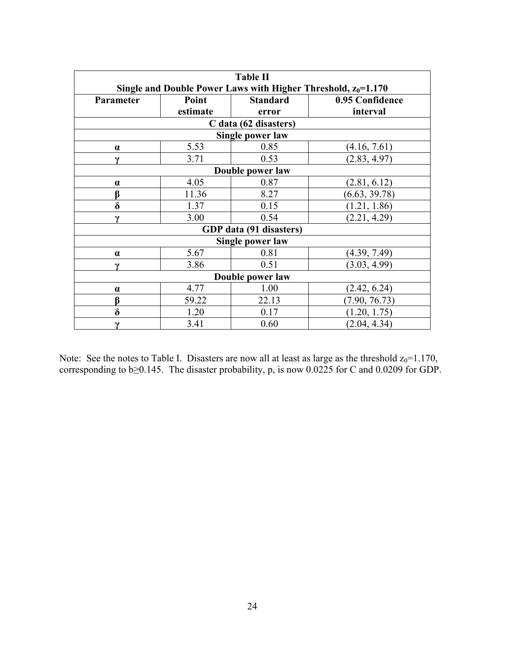| <b>Table II</b>                                                  |          |                 |                 |  |  |
|------------------------------------------------------------------|----------|-----------------|-----------------|--|--|
| Single and Double Power Laws with Higher Threshold, $z_0$ =1.170 |          |                 |                 |  |  |
| Parameter                                                        | Point    | <b>Standard</b> | 0.95 Confidence |  |  |
|                                                                  | estimate | error           | interval        |  |  |
| C data (62 disasters)                                            |          |                 |                 |  |  |
| Single power law                                                 |          |                 |                 |  |  |
| $\alpha$                                                         | 5.53     | 0.85            | (4.16, 7.61)    |  |  |
| $\boldsymbol{\gamma}$                                            | 3.71     | 0.53            | (2.83, 4.97)    |  |  |
| Double power law                                                 |          |                 |                 |  |  |
| $\alpha$                                                         | 4.05     | 0.87            | (2.81, 6.12)    |  |  |
| β                                                                | 11.36    | 8.27            | (6.63, 39.78)   |  |  |
| $\delta$                                                         | 1.37     | 0.15            | (1.21, 1.86)    |  |  |
| $\mathbf v$                                                      | 3.00     | 0.54            | (2.21, 4.29)    |  |  |
| GDP data (91 disasters)                                          |          |                 |                 |  |  |
| Single power law                                                 |          |                 |                 |  |  |
| $\alpha$                                                         | 5.67     | 0.81            | (4.39, 7.49)    |  |  |
| $\mathbf v$                                                      | 3.86     | 0.51            | (3.03, 4.99)    |  |  |
| Double power law                                                 |          |                 |                 |  |  |
| $\alpha$                                                         | 4.77     | 1.00            | (2.42, 6.24)    |  |  |
| ß                                                                | 59.22    | 22.13           | (7.90, 76.73)   |  |  |
| $\delta$                                                         | 1.20     | 0.17            | (1.20, 1.75)    |  |  |
| $\gamma$                                                         | 3.41     | 0.60            | (2.04, 4.34)    |  |  |

Note: See the notes to Table I. Disasters are now all at least as large as the threshold  $z_0$ =1.170, corresponding to  $b \ge 0.145$ . The disaster probability, p, is now 0.0225 for C and 0.0209 for GDP.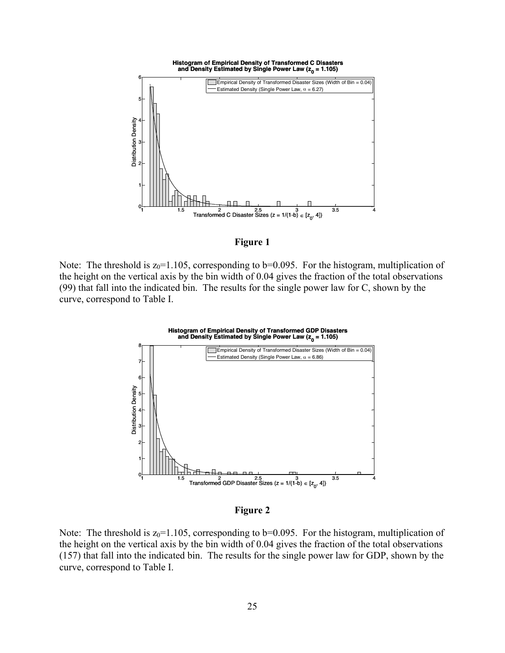

**Figure 1** 

Note: The threshold is  $z_0$ =1.105, corresponding to b=0.095. For the histogram, multiplication of the height on the vertical axis by the bin width of 0.04 gives the fraction of the total observations (99) that fall into the indicated bin. The results for the single power law for C, shown by the curve, correspond to Table I.



**Figure 2** 

Note: The threshold is  $z_0$ =1.105, corresponding to b=0.095. For the histogram, multiplication of the height on the vertical axis by the bin width of 0.04 gives the fraction of the total observations (157) that fall into the indicated bin. The results for the single power law for GDP, shown by the curve, correspond to Table I.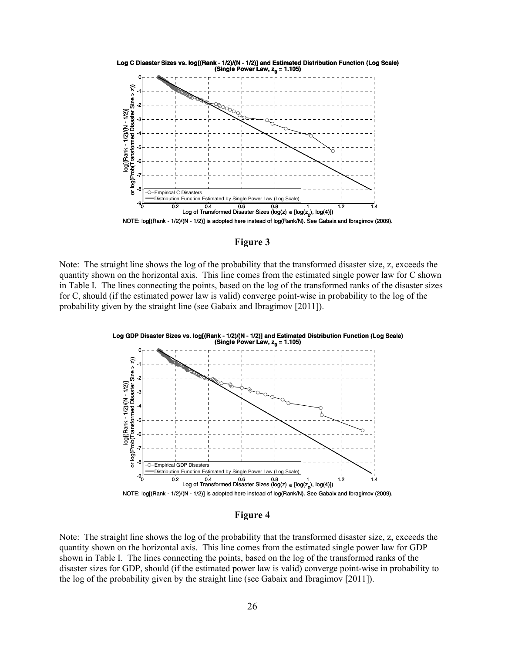

**Figure 3** 

Note: The straight line shows the log of the probability that the transformed disaster size, z, exceeds the quantity shown on the horizontal axis. This line comes from the estimated single power law for C shown in Table I. The lines connecting the points, based on the log of the transformed ranks of the disaster sizes for C, should (if the estimated power law is valid) converge point-wise in probability to the log of the probability given by the straight line (see Gabaix and Ibragimov [2011]).



#### **Figure 4**

Note: The straight line shows the log of the probability that the transformed disaster size, z, exceeds the quantity shown on the horizontal axis. This line comes from the estimated single power law for GDP shown in Table I. The lines connecting the points, based on the log of the transformed ranks of the disaster sizes for GDP, should (if the estimated power law is valid) converge point-wise in probability to the log of the probability given by the straight line (see Gabaix and Ibragimov [2011]).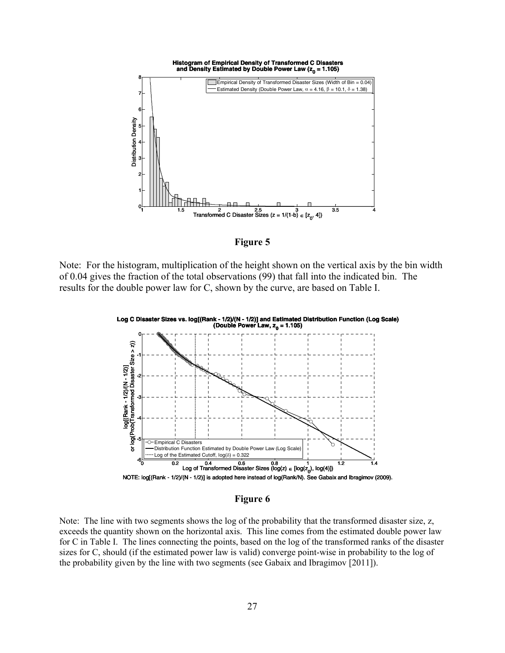

**Figure 5** 

Note: For the histogram, multiplication of the height shown on the vertical axis by the bin width of 0.04 gives the fraction of the total observations (99) that fall into the indicated bin. The results for the double power law for C, shown by the curve, are based on Table I.



**Figure 6** 

Note: The line with two segments shows the log of the probability that the transformed disaster size, z, exceeds the quantity shown on the horizontal axis. This line comes from the estimated double power law for C in Table I. The lines connecting the points, based on the log of the transformed ranks of the disaster sizes for C, should (if the estimated power law is valid) converge point-wise in probability to the log of the probability given by the line with two segments (see Gabaix and Ibragimov [2011]).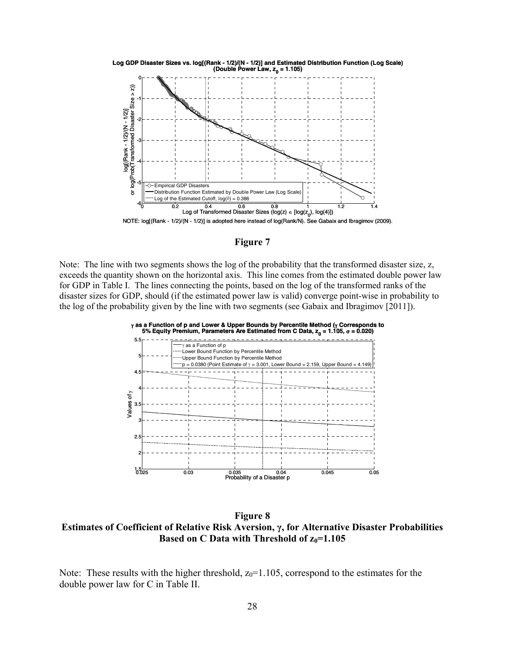

**Figure 7** 

Note: The line with two segments shows the log of the probability that the transformed disaster size, z, exceeds the quantity shown on the horizontal axis. This line comes from the estimated double power law for GDP in Table I. The lines connecting the points, based on the log of the transformed ranks of the disaster sizes for GDP, should (if the estimated power law is valid) converge point-wise in probability to the log of the probability given by the line with two segments (see Gabaix and Ibragimov [2011]).



**Figure 8 Estimates of Coefficient of Relative Risk Aversion, γ, for Alternative Disaster Probabilities Based on C Data with Threshold of**  $z_0$ **=1.105** 

Note: These results with the higher threshold,  $z_0=1.105$ , correspond to the estimates for the double power law for C in Table II.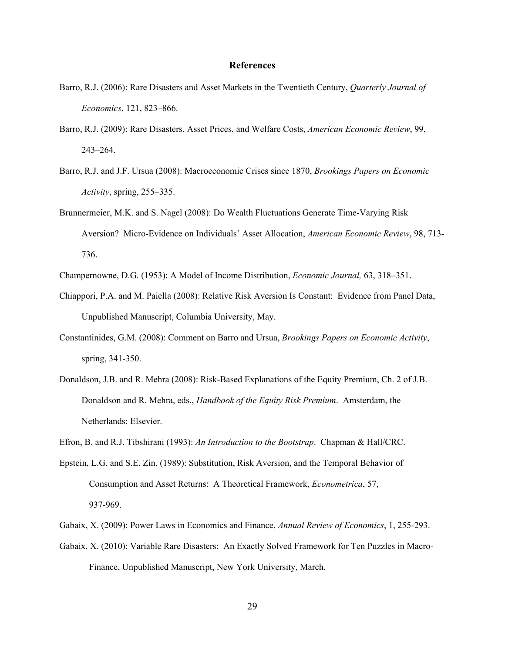### **References**

- Barro, R.J. (2006): Rare Disasters and Asset Markets in the Twentieth Century, *Quarterly Journal of Economics*, 121, 823–866.
- Barro, R.J. (2009): Rare Disasters, Asset Prices, and Welfare Costs, *American Economic Review*, 99, 243–264.
- Barro, R.J. and J.F. Ursua (2008): Macroeconomic Crises since 1870, *Brookings Papers on Economic Activity*, spring, 255–335.
- Brunnermeier, M.K. and S. Nagel (2008): Do Wealth Fluctuations Generate Time-Varying Risk Aversion? Micro-Evidence on Individuals' Asset Allocation, *American Economic Review*, 98, 713- 736.
- Champernowne, D.G. (1953): A Model of Income Distribution, *Economic Journal,* 63, 318–351.
- Chiappori, P.A. and M. Paiella (2008): Relative Risk Aversion Is Constant: Evidence from Panel Data, Unpublished Manuscript, Columbia University, May.
- Constantinides, G.M. (2008): Comment on Barro and Ursua, *Brookings Papers on Economic Activity*, spring, 341-350.
- Donaldson, J.B. and R. Mehra (2008): Risk-Based Explanations of the Equity Premium, Ch. 2 of J.B. Donaldson and R. Mehra, eds., *Handbook of the Equity Risk Premium*. Amsterdam, the Netherlands: Elsevier.
- Efron, B. and R.J. Tibshirani (1993): *An Introduction to the Bootstrap*. Chapman & Hall/CRC.
- Epstein, L.G. and S.E. Zin. (1989): Substitution, Risk Aversion, and the Temporal Behavior of Consumption and Asset Returns: A Theoretical Framework, *Econometrica*, 57, 937-969.
- Gabaix, X. (2009): Power Laws in Economics and Finance, *Annual Review of Economics*, 1, 255-293.
- Gabaix, X. (2010): Variable Rare Disasters: An Exactly Solved Framework for Ten Puzzles in Macro- Finance, Unpublished Manuscript, New York University, March.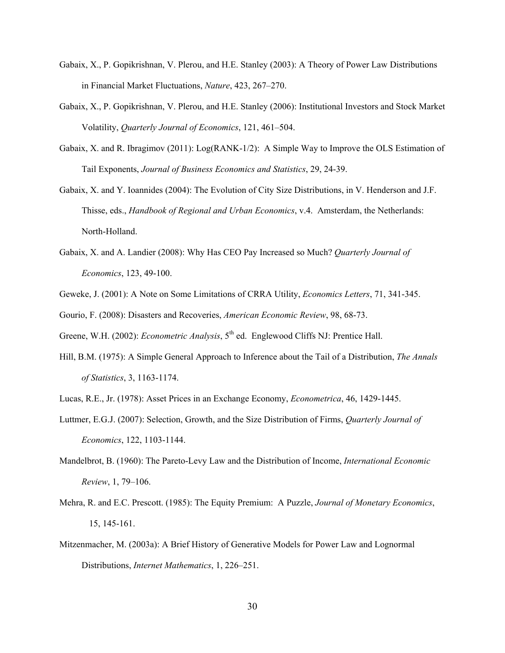- Gabaix, X., P. Gopikrishnan, V. Plerou, and H.E. Stanley (2003): A Theory of Power Law Distributions in Financial Market Fluctuations, *Nature*, 423, 267–270.
- Gabaix, X., P. Gopikrishnan, V. Plerou, and H.E. Stanley (2006): Institutional Investors and Stock Market Volatility, *Quarterly Journal of Economics*, 121, 461–504.
- Gabaix, X. and R. Ibragimov (2011): Log(RANK-1/2): A Simple Way to Improve the OLS Estimation of Tail Exponents, *Journal of Business Economics and Statistics*, 29, 24-39.
- Gabaix, X. and Y. Ioannides (2004): The Evolution of City Size Distributions, in V. Henderson and J.F. Thisse, eds., *Handbook of Regional and Urban Economics*, v.4. Amsterdam, the Netherlands: North-Holland.
- Gabaix, X. and A. Landier (2008): Why Has CEO Pay Increased so Much? *Quarterly Journal of Economics*, 123, 49-100.
- Geweke, J. (2001): A Note on Some Limitations of CRRA Utility, *Economics Letters*, 71, 341-345.

Gourio, F. (2008): Disasters and Recoveries, *American Economic Review*, 98, 68-73.

Greene, W.H. (2002): *Econometric Analysis*, 5<sup>th</sup> ed. Englewood Cliffs NJ: Prentice Hall.

Hill, B.M. (1975): A Simple General Approach to Inference about the Tail of a Distribution, *The Annals of Statistics*, 3, 1163-1174.

Lucas, R.E., Jr. (1978): Asset Prices in an Exchange Economy, *Econometrica*, 46, 1429-1445.

- Luttmer, E.G.J. (2007): Selection, Growth, and the Size Distribution of Firms, *Quarterly Journal of Economics*, 122, 1103-1144.
- Mandelbrot, B. (1960): The Pareto-Levy Law and the Distribution of Income, *International Economic Review*, 1, 79–106.
- Mehra, R. and E.C. Prescott. (1985): The Equity Premium: A Puzzle, *Journal of Monetary Economics*, 15, 145-161.
- Mitzenmacher, M. (2003a): A Brief History of Generative Models for Power Law and Lognormal Distributions, *Internet Mathematics*, 1, 226–251.